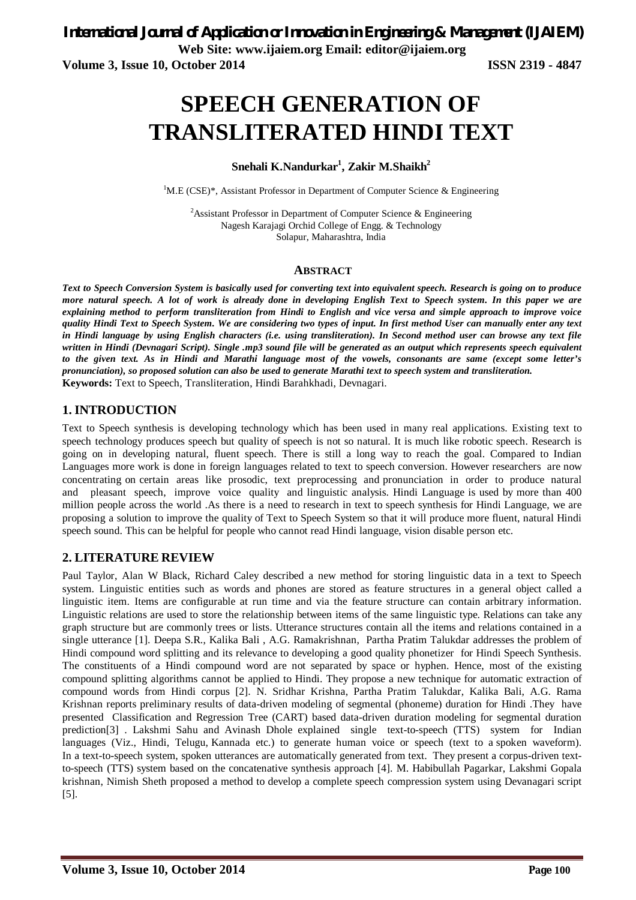**Web Site: www.ijaiem.org Email: editor@ijaiem.org**

**Volume 3, Issue 10, October 2014 ISSN 2319 - 4847**

# **SPEECH GENERATION OF TRANSLITERATED HINDI TEXT**

# **Snehali K.Nandurkar<sup>1</sup> , Zakir M.Shaikh<sup>2</sup>**

<sup>1</sup>M.E (CSE)\*, Assistant Professor in Department of Computer Science & Engineering

<sup>2</sup>Assistant Professor in Department of Computer Science  $\&$  Engineering Nagesh Karajagi Orchid College of Engg. & Technology Solapur, Maharashtra, India

#### **ABSTRACT**

*Text to Speech Conversion System is basically used for converting text into equivalent speech. Research is going on to produce more natural speech. A lot of work is already done in developing English Text to Speech system. In this paper we are explaining method to perform transliteration from Hindi to English and vice versa and simple approach to improve voice quality Hindi Text to Speech System. We are considering two types of input. In first method User can manually enter any text in Hindi language by using English characters (i.e. using transliteration). In Second method user can browse any text file written in Hindi (Devnagari Script). Single .mp3 sound file will be generated as an output which represents speech equivalent to the given text. As in Hindi and Marathi language most of the vowels, consonants are same (except some letter's pronunciation), so proposed solution can also be used to generate Marathi text to speech system and transliteration.*  **Keywords:** Text to Speech, Transliteration, Hindi Barahkhadi, Devnagari.

# **1. INTRODUCTION**

Text to Speech synthesis is developing technology which has been used in many real applications. Existing text to speech technology produces speech but quality of speech is not so natural. It is much like robotic speech. Research is going on in developing natural, fluent speech. There is still a long way to reach the goal. Compared to Indian Languages more work is done in foreign languages related to text to speech conversion. However researchers are now concentrating on certain areas like prosodic, text preprocessing and pronunciation in order to produce natural and pleasant speech, improve voice quality and linguistic analysis. Hindi Language is used by more than 400 million people across the world .As there is a need to research in text to speech synthesis for Hindi Language, we are proposing a solution to improve the quality of Text to Speech System so that it will produce more fluent, natural Hindi speech sound. This can be helpful for people who cannot read Hindi language, vision disable person etc.

## **2. LITERATURE REVIEW**

Paul Taylor, Alan W Black, Richard Caley described a new method for storing linguistic data in a text to Speech system. Linguistic entities such as words and phones are stored as feature structures in a general object called a linguistic item. Items are configurable at run time and via the feature structure can contain arbitrary information. Linguistic relations are used to store the relationship between items of the same linguistic type. Relations can take any graph structure but are commonly trees or lists. Utterance structures contain all the items and relations contained in a single utterance [1]. Deepa S.R., Kalika Bali , A.G. Ramakrishnan, Partha Pratim Talukdar addresses the problem of Hindi compound word splitting and its relevance to developing a good quality phonetizer for Hindi Speech Synthesis. The constituents of a Hindi compound word are not separated by space or hyphen. Hence, most of the existing compound splitting algorithms cannot be applied to Hindi. They propose a new technique for automatic extraction of compound words from Hindi corpus [2]. N. Sridhar Krishna, Partha Pratim Talukdar, Kalika Bali, A.G. Rama Krishnan reports preliminary results of data-driven modeling of segmental (phoneme) duration for Hindi .They have presented Classification and Regression Tree (CART) based data-driven duration modeling for segmental duration prediction[3] . Lakshmi Sahu and Avinash Dhole explained single text-to-speech (TTS) system for Indian languages (Viz., Hindi, Telugu, Kannada etc.) to generate human voice or speech (text to a spoken waveform). In a text-to-speech system, spoken utterances are automatically generated from text. They present a corpus-driven textto-speech (TTS) system based on the concatenative synthesis approach [4]. M. Habibullah Pagarkar, Lakshmi Gopala krishnan, Nimish Sheth proposed a method to develop a complete speech compression system using Devanagari script [5].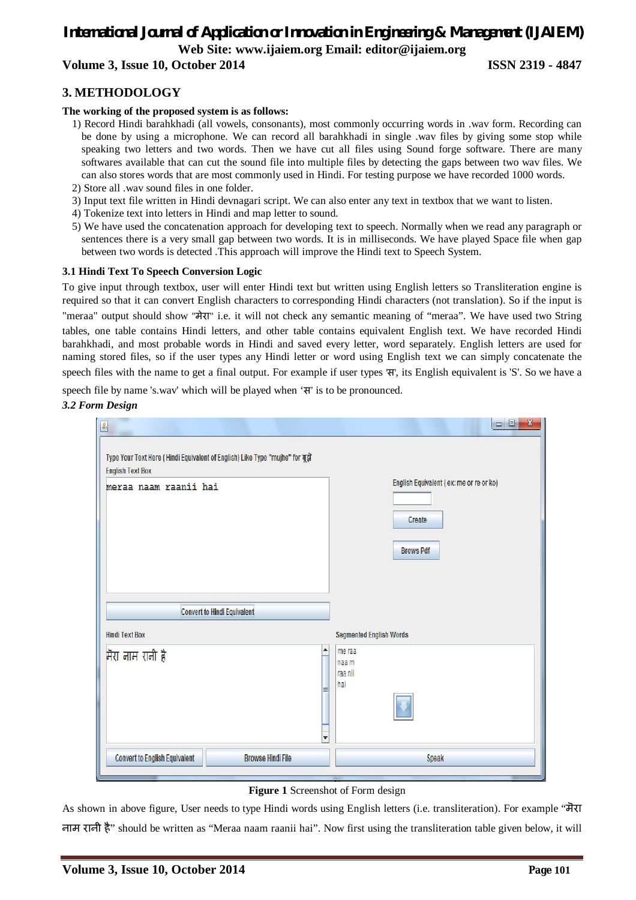# *International Journal of Application or Innovation in Engineering & Management (IJAIEM)* **Web Site: www.ijaiem.org Email: editor@ijaiem.org**

**Volume 3, Issue 10, October 2014 ISSN 2319 - 4847**

# **3. METHODOLOGY**

#### **The working of the proposed system is as follows:**

- 1) Record Hindi barahkhadi (all vowels, consonants), most commonly occurring words in .wav form. Recording can be done by using a microphone. We can record all barahkhadi in single .wav files by giving some stop while speaking two letters and two words. Then we have cut all files using Sound forge software. There are many softwares available that can cut the sound file into multiple files by detecting the gaps between two wav files. We can also stores words that are most commonly used in Hindi. For testing purpose we have recorded 1000 words.
- 2) Store all .wav sound files in one folder.
- 3) Input text file written in Hindi devnagari script. We can also enter any text in textbox that we want to listen.
- 4) Tokenize text into letters in Hindi and map letter to sound.
- 5) We have used the concatenation approach for developing text to speech. Normally when we read any paragraph or sentences there is a very small gap between two words. It is in milliseconds. We have played Space file when gap between two words is detected .This approach will improve the Hindi text to Speech System.

#### **3.1 Hindi Text To Speech Conversion Logic**

To give input through textbox, user will enter Hindi text but written using English letters so Transliteration engine is required so that it can convert English characters to corresponding Hindi characters (not translation). So if the input is

"meraa" output should show "मेरा" i.e. it will not check any semantic meaning of "meraa". We have used two String tables, one table contains Hindi letters, and other table contains equivalent English text. We have recorded Hindi barahkhadi, and most probable words in Hindi and saved every letter, word separately. English letters are used for naming stored files, so if the user types any Hindi letter or word using English text we can simply concatenate the speech files with the name to get a final output. For example if user types 'स', its English equivalent is 'S'. So we have a

speech file by name 's.wav' which will be played when 'स' is to be pronounced.

#### *3.2 Form Design*

| $\underline{\underline{\mathfrak{L}}}$                                                                   | $\mathbf{x}$<br>$\begin{array}{c c c c} \hline \multicolumn{3}{c }{\textbf{0}} & \multicolumn{3}{c }{\textbf{0}} \\ \hline \multicolumn{3}{c }{\textbf{0}} & \multicolumn{3}{c }{\textbf{0}} \\ \hline \multicolumn{3}{c }{\textbf{0}} & \multicolumn{3}{c }{\textbf{0}} \\ \hline \multicolumn{3}{c }{\textbf{0}} & \multicolumn{3}{c }{\textbf{0}} \\ \hline \multicolumn{3}{c }{\textbf{0}} & \multicolumn{3}{c }{\textbf{0}} \\ \hline \multicolumn{3}{c }{\textbf{0}} & \mult$ |
|----------------------------------------------------------------------------------------------------------|-------------------------------------------------------------------------------------------------------------------------------------------------------------------------------------------------------------------------------------------------------------------------------------------------------------------------------------------------------------------------------------------------------------------------------------------------------------------------------------|
| Type Your Text Here ( Hindi Equivalent of English) Like Type "mujhe" for मुझे<br><b>English Text Box</b> |                                                                                                                                                                                                                                                                                                                                                                                                                                                                                     |
| meraa naam raanii hai                                                                                    | English Equivalent (ex: me or re or ko)<br>Create<br><b>Brows Pdf</b>                                                                                                                                                                                                                                                                                                                                                                                                               |
|                                                                                                          |                                                                                                                                                                                                                                                                                                                                                                                                                                                                                     |
| <b>Convert to Hindi Equivalent</b>                                                                       |                                                                                                                                                                                                                                                                                                                                                                                                                                                                                     |
| <b>Hindi Text Box</b>                                                                                    | <b>Segmented English Words</b>                                                                                                                                                                                                                                                                                                                                                                                                                                                      |
| ۸<br>मैरा नाम रानी है<br>≡<br>٠                                                                          | me raa<br>naa m<br>raa nii<br>hai                                                                                                                                                                                                                                                                                                                                                                                                                                                   |
| <b>Convert to English Equivalent</b><br><b>Browse Hindi File</b>                                         | Speak                                                                                                                                                                                                                                                                                                                                                                                                                                                                               |

#### **Figure 1** Screenshot of Form design

As shown in above figure, User needs to type Hindi words using English letters (i.e. transliteration). For example "मॆरा नाम रानी है" should be written as "Meraa naam raanii hai". Now first using the transliteration table given below, it will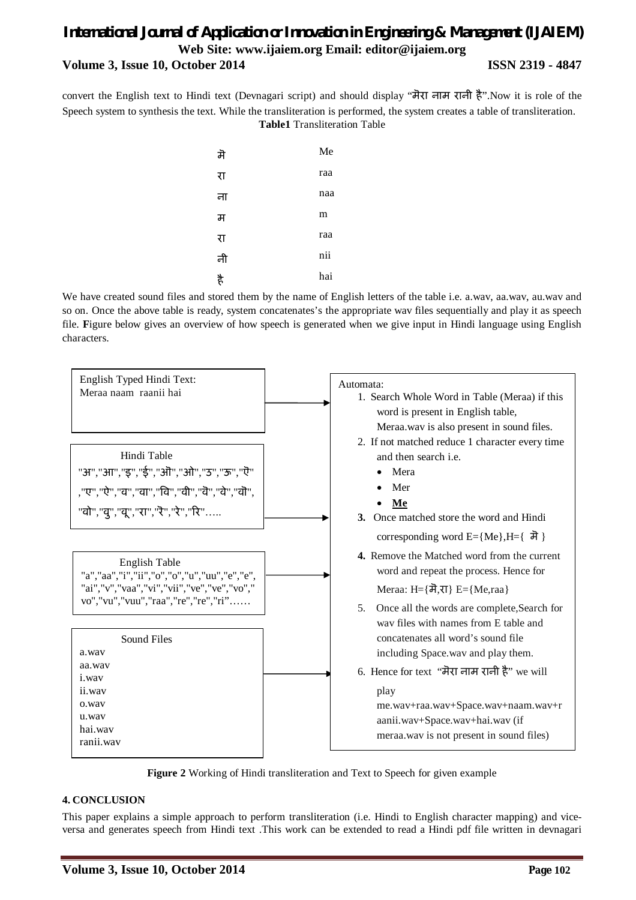# *International Journal of Application or Innovation in Engineering & Management (IJAIEM)* **Web Site: www.ijaiem.org Email: editor@ijaiem.org Volume 3, Issue 10, October 2014 ISSN 2319 - 4847**

convert the English text to Hindi text (Devnagari script) and should display "मॆरा नाम रानी है".Now it is role of the Speech system to synthesis the text. While the transliteration is performed, the system creates a table of transliteration. **Table1** Transliteration Table

| Me  |
|-----|
| raa |
| naa |
| m   |
| raa |
| nii |
| hai |
|     |

We have created sound files and stored them by the name of English letters of the table i.e. a.wav, aa.wav, au.wav and so on. Once the above table is ready, system concatenates's the appropriate wav files sequentially and play it as speech file. **F**igure below gives an overview of how speech is generated when we give input in Hindi language using English characters.





#### **4. CONCLUSION**

This paper explains a simple approach to perform transliteration (i.e. Hindi to English character mapping) and viceversa and generates speech from Hindi text .This work can be extended to read a Hindi pdf file written in devnagari